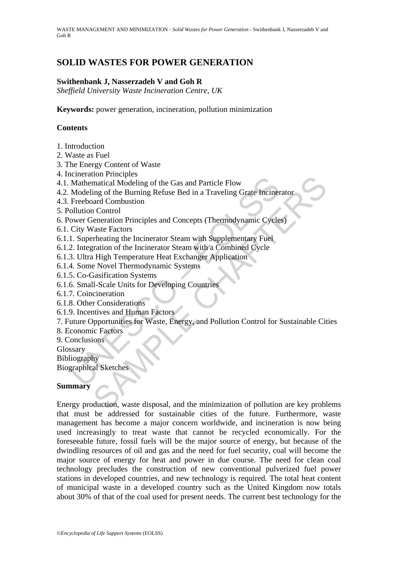## **SOLID WASTES FOR POWER GENERATION**

#### **Swithenbank J, Nasserzadeh V and Goh R**

*Sheffield University Waste Incineration Centre, UK* 

**Keywords:** power generation, incineration, pollution minimization

#### **Contents**

- 1. Introduction
- 2. Waste as Fuel
- 3. The Energy Content of Waste
- 4. Incineration Principles
- 4.1. Mathematical Modeling of the Gas and Particle Flow
- Mathematical Modeling of the Gas and Particle Flow<br>
Mathematical Modeling of the Gas and Particle Flow<br>
Modeling of the Burning Refuse Bed in a Traveling Grate Inciner<br>
Freeboard Combustion<br>
Ollution Control<br>
City Waste Fa 4.2. Modeling of the Burning Refuse Bed in a Traveling Grate Incinerator
- 4.3. Freeboard Combustion
- 5. Pollution Control
- 6. Power Generation Principles and Concepts (Thermodynamic Cycles)
- 6.1. City Waste Factors
- 6.1.1. Superheating the Incinerator Steam with Supplementary Fuel
- 6.1.2. Integration of the Incinerator Steam with a Combined Cycle
- 6.1.3. Ultra High Temperature Heat Exchanger Application
- 6.1.4. Some Novel Thermodynamic Systems
- 6.1.5. Co-Gasification Systems
- 6.1.6. Small-Scale Units for Developing Countries
- 6.1.7. Coincineration
- 6.1.8. Other Considerations
- 6.1.9. Incentives and Human Factors
- 7. Future Opportunities for Waste, Energy, and Pollution Control for Sustainable Cities
- 8. Economic Factors
- 9. Conclusions
- Glossary

Bibliography

Biographical Sketches

#### **Summary**

Franchiscon<br>
Inatical Modeling of the Gas and Particle Flow<br>
Ing of the Burning Refuse Bed in a Traveling Grate Incinerator<br>
and Combustion<br>
In Control<br>
Frenchiscon<br>
Veneration Principles and Concepts (Thermodynamic Cycles Energy production, waste disposal, and the minimization of pollution are key problems that must be addressed for sustainable cities of the future. Furthermore, waste management has become a major concern worldwide, and incineration is now being used increasingly to treat waste that cannot be recycled economically. For the foreseeable future, fossil fuels will be the major source of energy, but because of the dwindling resources of oil and gas and the need for fuel security, coal will become the major source of energy for heat and power in due course. The need for clean coal technology precludes the construction of new conventional pulverized fuel power stations in developed countries, and new technology is required. The total heat content of municipal waste in a developed country such as the United Kingdom now totals about 30% of that of the coal used for present needs. The current best technology for the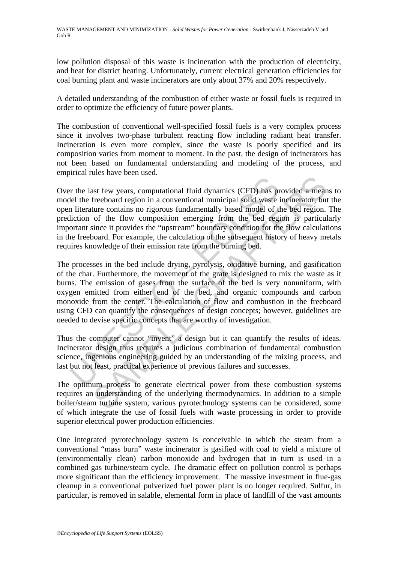low pollution disposal of this waste is incineration with the production of electricity, and heat for district heating. Unfortunately, current electrical generation efficiencies for coal burning plant and waste incinerators are only about 37% and 20% respectively.

A detailed understanding of the combustion of either waste or fossil fuels is required in order to optimize the efficiency of future power plants.

The combustion of conventional well-specified fossil fuels is a very complex process since it involves two-phase turbulent reacting flow including radiant heat transfer. Incineration is even more complex, since the waste is poorly specified and its composition varies from moment to moment. In the past, the design of incinerators has not been based on fundamental understanding and modeling of the process, and empirical rules have been used.

In the last few years, computational fluid dynamics (CFD) has pell the freeboard region in a conventional municipal solid waste in literature contains no rigorous fundamentally based model of the fluction of the flow compo and material material divid dynamics (CFD) has provided a meant-<br>enterchoard region in a conventional fluid dynamics (CFD) has provided a meant<br>ture contains no rigorous fundamentally based model of the bed region.<br>of the Over the last few years, computational fluid dynamics (CFD) has provided a means to model the freeboard region in a conventional municipal solid waste incinerator, but the open literature contains no rigorous fundamentally based model of the bed region. The prediction of the flow composition emerging from the bed region is particularly important since it provides the "upstream" boundary condition for the flow calculations in the freeboard. For example, the calculation of the subsequent history of heavy metals requires knowledge of their emission rate from the burning bed.

The processes in the bed include drying, pyrolysis, oxidative burning, and gasification of the char. Furthermore, the movement of the grate is designed to mix the waste as it burns. The emission of gases from the surface of the bed is very nonuniform, with oxygen emitted from either end of the bed, and organic compounds and carbon monoxide from the center. The calculation of flow and combustion in the freeboard using CFD can quantify the consequences of design concepts; however, guidelines are needed to devise specific concepts that are worthy of investigation.

Thus the computer cannot "invent" a design but it can quantify the results of ideas. Incinerator design thus requires a judicious combination of fundamental combustion science, ingenious engineering guided by an understanding of the mixing process, and last but not least, practical experience of previous failures and successes.

The optimum process to generate electrical power from these combustion systems requires an understanding of the underlying thermodynamics. In addition to a simple boiler/steam turbine system, various pyrotechnology systems can be considered, some of which integrate the use of fossil fuels with waste processing in order to provide superior electrical power production efficiencies.

One integrated pyrotechnology system is conceivable in which the steam from a conventional "mass burn" waste incinerator is gasified with coal to yield a mixture of (environmentally clean) carbon monoxide and hydrogen that in turn is used in a combined gas turbine/steam cycle. The dramatic effect on pollution control is perhaps more significant than the efficiency improvement. The massive investment in flue-gas cleanup in a conventional pulverized fuel power plant is no longer required. Sulfur, in particular, is removed in salable, elemental form in place of landfill of the vast amounts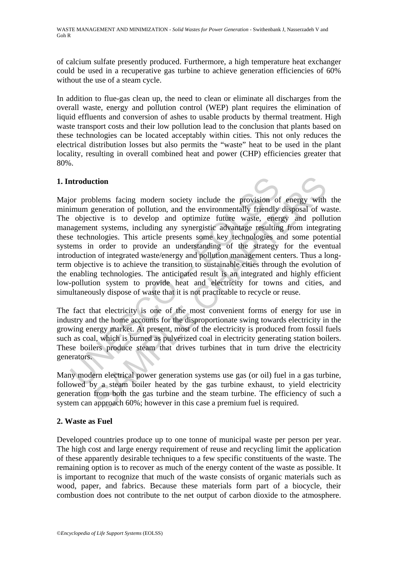of calcium sulfate presently produced. Furthermore, a high temperature heat exchanger could be used in a recuperative gas turbine to achieve generation efficiencies of 60% without the use of a steam cycle.

In addition to flue-gas clean up, the need to clean or eliminate all discharges from the overall waste, energy and pollution control (WEP) plant requires the elimination of liquid effluents and conversion of ashes to usable products by thermal treatment. High waste transport costs and their low pollution lead to the conclusion that plants based on these technologies can be located acceptably within cities. This not only reduces the electrical distribution losses but also permits the "waste" heat to be used in the plant locality, resulting in overall combined heat and power (CHP) efficiencies greater that 80%.

## **1. Introduction**

atroduction<br>or problems facing modern society include the provision of<br>or problems facing modern society include the provision of<br>imum generation of pollution, and the environmentally friendly<br>reading-<br>organization is to d ction<br>ction<br>blems facing modern society include the provision of energy with<br>generation of pollution, and the environmentally friendly disposal of wi<br>tive is to develop and optimize future waste, energy and pollu<br>nt system Major problems facing modern society include the provision of energy with the minimum generation of pollution, and the environmentally friendly disposal of waste. The objective is to develop and optimize future waste, energy and pollution management systems, including any synergistic advantage resulting from integrating these technologies. This article presents some key technologies and some potential systems in order to provide an understanding of the strategy for the eventual introduction of integrated waste/energy and pollution management centers. Thus a longterm objective is to achieve the transition to sustainable cities through the evolution of the enabling technologies. The anticipated result is an integrated and highly efficient low-pollution system to provide heat and electricity for towns and cities, and simultaneously dispose of waste that it is not practicable to recycle or reuse.

The fact that electricity is one of the most convenient forms of energy for use in industry and the home accounts for the disproportionate swing towards electricity in the growing energy market. At present, most of the electricity is produced from fossil fuels such as coal, which is burned as pulverized coal in electricity generating station boilers. These boilers produce steam that drives turbines that in turn drive the electricity generators.

Many modern electrical power generation systems use gas (or oil) fuel in a gas turbine, followed by a steam boiler heated by the gas turbine exhaust, to yield electricity generation from both the gas turbine and the steam turbine. The efficiency of such a system can approach 60%; however in this case a premium fuel is required.

### **2. Waste as Fuel**

Developed countries produce up to one tonne of municipal waste per person per year. The high cost and large energy requirement of reuse and recycling limit the application of these apparently desirable techniques to a few specific constituents of the waste. The remaining option is to recover as much of the energy content of the waste as possible. It is important to recognize that much of the waste consists of organic materials such as wood, paper, and fabrics. Because these materials form part of a biocycle, their combustion does not contribute to the net output of carbon dioxide to the atmosphere.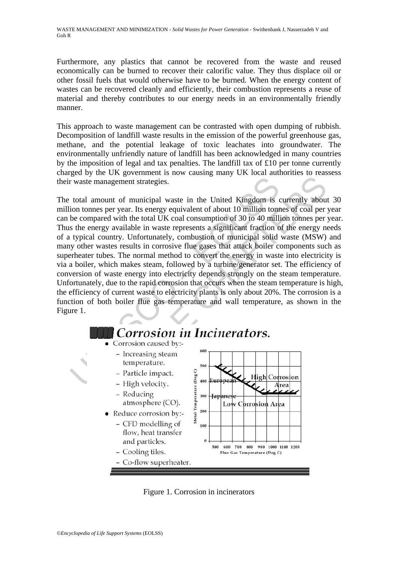Furthermore, any plastics that cannot be recovered from the waste and reused economically can be burned to recover their calorific value. They thus displace oil or other fossil fuels that would otherwise have to be burned. When the energy content of wastes can be recovered cleanly and efficiently, their combustion represents a reuse of material and thereby contributes to our energy needs in an environmentally friendly manner.

This approach to waste management can be contrasted with open dumping of rubbish. Decomposition of landfill waste results in the emission of the powerful greenhouse gas, methane, and the potential leakage of toxic leachates into groundwater. The environmentally unfriendly nature of landfill has been acknowledged in many countries by the imposition of legal and tax penalties. The landfill tax of £10 per tonne currently charged by the UK government is now causing many UK local authorities to reassess their waste management strategies.

France management strategies.<br>
total amount of municipal waste in the United Kingdom is<br>
total amount of municipal waste in the United Kingdom is<br>
to compared with the total UK coal consumption of 30 to 40 million<br>
se com management strategies.<br>
amount of municipal waste in the United Kingdom is currently about<br>
mes per year. Its energy equivalent of about 10 million tonnes of coal per<br>
pared with the total UK coal consumption of 30 to 40 The total amount of municipal waste in the United Kingdom is currently about 30 million tonnes per year. Its energy equivalent of about 10 million tonnes of coal per year can be compared with the total UK coal consumption of 30 to 40 million tonnes per year. Thus the energy available in waste represents a significant fraction of the energy needs of a typical country. Unfortunately, combustion of municipal solid waste (MSW) and many other wastes results in corrosive flue gases that attack boiler components such as superheater tubes. The normal method to convert the energy in waste into electricity is via a boiler, which makes steam, followed by a turbine/generator set. The efficiency of conversion of waste energy into electricity depends strongly on the steam temperature. Unfortunately, due to the rapid corrosion that occurs when the steam temperature is high, the efficiency of current waste to electricity plants is only about 20%. The corrosion is a function of both boiler flue gas temperature and wall temperature, as shown in the Figure 1.



Figure 1. Corrosion in incinerators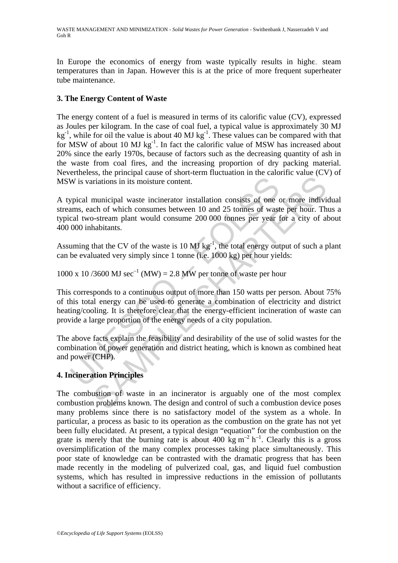In Europe the economics of energy from waste typically results in highe steam temperatures than in Japan. However this is at the price of more frequent superheater tube maintenance.

#### **3. The Energy Content of Waste**

The energy content of a fuel is measured in terms of its calorific value (CV), expressed as Joules per kilogram. In the case of coal fuel, a typical value is approximately 30 MJ  $kg^{-1}$ , while for oil the value is about 40 MJ kg<sup>-1</sup>. These values can be compared with that for MSW of about 10 MJ  $kg^{-1}$ . In fact the calorific value of MSW has increased about 20% since the early 1970s, because of factors such as the decreasing quantity of ash in the waste from coal fires, and the increasing proportion of dry packing material. Nevertheless, the principal cause of short-term fluctuation in the calorific value (CV) of MSW is variations in its moisture content.

A typical municipal waste incinerator installation consists of one or more individual streams, each of which consumes between 10 and 25 tonnes of waste per hour. Thus a typical two-stream plant would consume 200 000 tonnes per year for a city of about 400 000 inhabitants.

Assuming that the CV of the waste is 10 MJ kg<sup>-1</sup>, the total energy output of such a plant can be evaluated very simply since 1 tonne (i.e. 1000 kg) per hour yields:

1000 x 10 /3600 MJ  $sec^{-1}$  (MW) = 2.8 MW per tonne of waste per hour

W is variations in its moisture content.<br>
spical municipal waste incinerator installation consists of one comes, each of which consumes between 10 and 25 tonnes of wasted two-stream plant would consume 200 000 tonnes per intrains in its moisture content.<br>
municipal waste incinerator installation consists of one or more individual<br>
chapted of which consumes between 10 and 25 tonnes of waste per hour. The<br>
stream plant would consume 200 000 This corresponds to a continuous output of more than 150 watts per person. About 75% of this total energy can be used to generate a combination of electricity and district heating/cooling. It is therefore clear that the energy-efficient incineration of waste can provide a large proportion of the energy needs of a city population.

The above facts explain the feasibility and desirability of the use of solid wastes for the combination of power generation and district heating, which is known as combined heat and power (CHP).

### **4. Incineration Principles**

The combustion of waste in an incinerator is arguably one of the most complex combustion problems known. The design and control of such a combustion device poses many problems since there is no satisfactory model of the system as a whole. In particular, a process as basic to its operation as the combustion on the grate has not yet been fully elucidated. At present, a typical design "equation" for the combustion on the grate is merely that the burning rate is about 400 kg  $m^{-2}$  h<sup>-1</sup>. Clearly this is a gross oversimplification of the many complex processes taking place simultaneously. This poor state of knowledge can be contrasted with the dramatic progress that has been made recently in the modeling of pulverized coal, gas, and liquid fuel combustion systems, which has resulted in impressive reductions in the emission of pollutants without a sacrifice of efficiency.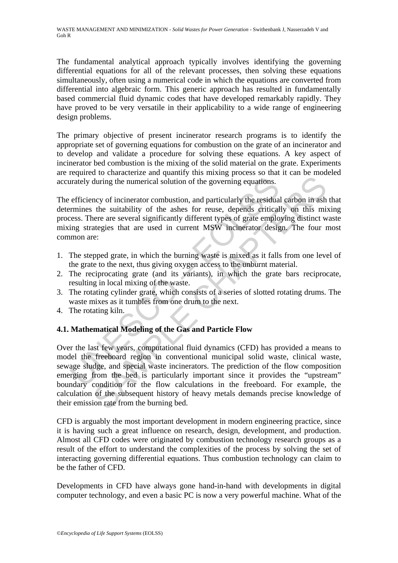The fundamental analytical approach typically involves identifying the governing differential equations for all of the relevant processes, then solving these equations simultaneously, often using a numerical code in which the equations are converted from differential into algebraic form. This generic approach has resulted in fundamentally based commercial fluid dynamic codes that have developed remarkably rapidly. They have proved to be very versatile in their applicability to a wide range of engineering design problems.

The primary objective of present incinerator research programs is to identify the appropriate set of governing equations for combustion on the grate of an incinerator and to develop and validate a procedure for solving these equations. A key aspect of incinerator bed combustion is the mixing of the solid material on the grate. Experiments are required to characterize and quantify this mixing process so that it can be modeled accurately during the numerical solution of the governing equations.

arately during the numerical solution of the governing equations.<br>
efficiency of incinerator combustion, and particularly the residual<br>
remines the suitability of the ashes for reuse, depends critical<br>
eses. There are seve The efficiency of incinerator combustion, and particularly the residual carbon in ash that determines the suitability of the ashes for reuse, depends critically on this mixing process. There are several significantly different types of grate employing distinct waste mixing strategies that are used in current MSW incinerator design. The four most common are:

- 1. The stepped grate, in which the burning waste is mixed as it falls from one level of the grate to the next, thus giving oxygen access to the unburnt material.
- 2. The reciprocating grate (and its variants), in which the grate bars reciprocate, resulting in local mixing of the waste.
- 3. The rotating cylinder grate, which consists of a series of slotted rotating drums. The waste mixes as it tumbles from one drum to the next.
- 4. The rotating kiln.

### **4.1. Mathematical Modeling of the Gas and Particle Flow**

during the numerical solution of the governing equations.<br>
and during the numerical solution of the governing equations.<br>
and particularly the residual carbon in ash<br>
the suitability of the ashes for reuse, depends critica Over the last few years, computational fluid dynamics (CFD) has provided a means to model the freeboard region in conventional municipal solid waste, clinical waste, sewage sludge, and special waste incinerators. The prediction of the flow composition emerging from the bed is particularly important since it provides the "upstream" boundary condition for the flow calculations in the freeboard. For example, the calculation of the subsequent history of heavy metals demands precise knowledge of their emission rate from the burning bed.

CFD is arguably the most important development in modern engineering practice, since it is having such a great influence on research, design, development, and production. Almost all CFD codes were originated by combustion technology research groups as a result of the effort to understand the complexities of the process by solving the set of interacting governing differential equations. Thus combustion technology can claim to be the father of CFD.

Developments in CFD have always gone hand-in-hand with developments in digital computer technology, and even a basic PC is now a very powerful machine. What of the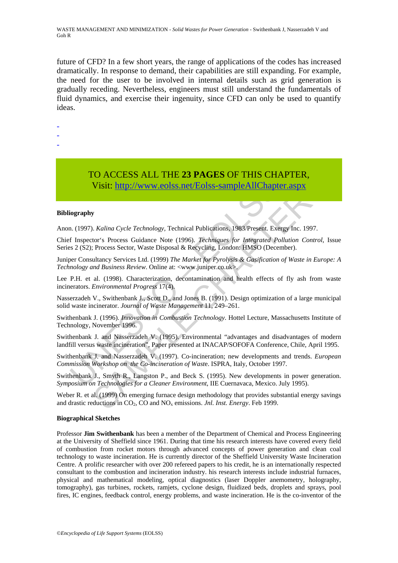future of CFD? In a few short years, the range of applications of the codes has increased dramatically. In response to demand, their capabilities are still expanding. For example, the need for the user to be involved in internal details such as grid generation is gradually receding. Nevertheless, engineers must still understand the fundamentals of fluid dynamics, and exercise their ingenuity, since CFD can only be used to quantify ideas.

- -
- -
- -

# TO ACCESS ALL THE **23 PAGES** OF THIS CHAPTER,

Visit: http://www.eolss.net/Eolss-sampleAllChapter.aspx

#### **Bibliography**

Anon. (1997). *Kalina Cycle Technology,* Technical Publications, 1983/Present. Exergy Inc. 1997.

Visit: http://www.eolss.net/Eolss-sampleAllChapter<br>Visit: http://www.eolss.net/Eolss-sampleAllChapter<br>iography<br>n. (1997). *Kalina Cycle Technology*, Technical Publications, 1983/Present. Exe<br>f Inspector's Process Guidance **USE CONSTRAINT AND CONSTRAINT (VISIT:** THE CHAPTER, **Nisit:** https://www.eolss.net/Eolss-sampleAllChapter.aspx<br>
Wisit: http://www.eolss.net/Eolss-sampleAllChapter.aspx<br>
or S. Process Sector, Waste Disposal & Recycling. L Chief Inspector's Process Guidance Note (1996). *Techniques for Integrated Pollution Control*, Issue Series 2 (S2); Process Sector, Waste Disposal & Recycling, London: HMSO (December).

Juniper Consultancy Services Ltd. (1999) *The Market for Pyrolysis & Gasification of Waste in Europe: A Technology and Business Review*. Online at: <www.juniper.co.uk>.

Lee P.H. et al. (1998). Characterization, decontamination and health effects of fly ash from waste incinerators. *Environmental Progress* 17(4).

Nasserzadeh V., Swithenbank J., Scott D., and Jones B. (1991). Design optimization of a large municipal solid waste incinerator. *Journal of Waste Management* 11, 249–261.

Swithenbank J. (1996). *Innovation in Combustion Technology*. Hottel Lecture, Massachusetts Institute of Technology, November 1996.

Swithenbank J. and Nasserzadeh V. (1995). Environmental "advantages and disadvantages of modern landfill versus waste incineration", Paper presented at INACAP/SOFOFA Conference, Chile, April 1995.

Swithenbank J. and Nasserzadeh V. (1997). Co-incineration; new developments and trends. *European Commission Workshop on the Co-incineration of Wast*e. ISPRA, Italy, October 1997.

Swithenbank J., Smyth R., Langston P., and Beck S. (1995). New developments in power generation. *Symposium on Technologies for a Cleaner Environment*, IIE Cuernavaca, Mexico. July 1995).

Weber R. et al. (1999) On emerging furnace design methodology that provides substantial energy savings and drastic reductions in CO2, CO and NOx emissions. *Jnl. Inst. Energy*. Feb 1999.

#### **Biographical Sketches**

Professor **Jim Swithenbank** has been a member of the Department of Chemical and Process Engineering at the University of Sheffield since 1961. During that time his research interests have covered every field of combustion from rocket motors through advanced concepts of power generation and clean coal technology to waste incineration. He is currently director of the Sheffield University Waste Incineration Centre. A prolific researcher with over 200 refereed papers to his credit, he is an internationally respected consultant to the combustion and incineration industry. his research interests include industrial furnaces, physical and mathematical modeling, optical diagnostics (laser Doppler anemometry, holography, tomography), gas turbines, rockets, ramjets, cyclone design, fluidized beds, droplets and sprays, pool fires, IC engines, feedback control, energy problems, and waste incineration. He is the co-inventor of the